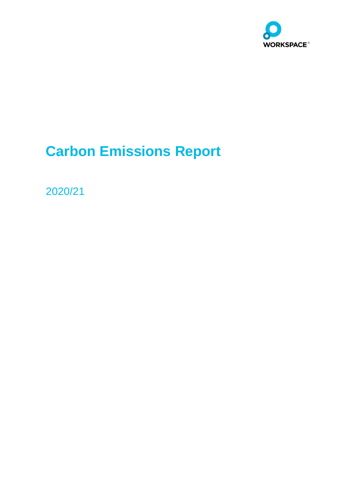

# **Carbon Emissions Report**

2020/21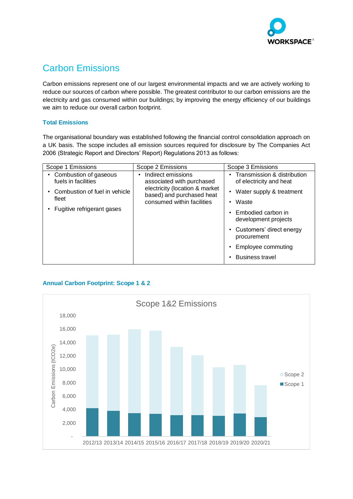

# Carbon Emissions

Carbon emissions represent one of our largest environmental impacts and we are actively working to reduce our sources of carbon where possible. The greatest contributor to our carbon emissions are the electricity and gas consumed within our buildings; by improving the energy efficiency of our buildings we aim to reduce our overall carbon footprint.

#### **Total Emissions**

The organisational boundary was established following the financial control consolidation approach on a UK basis. The scope includes all emission sources required for disclosure by The Companies Act 2006 (Strategic Report and Directors' Report) Regulations 2013 as follows:

| Scope 1 Emissions                                                                                                    | Scope 2 Emissions                                                                                                                            | Scope 3 Emissions                                                                                                                             |
|----------------------------------------------------------------------------------------------------------------------|----------------------------------------------------------------------------------------------------------------------------------------------|-----------------------------------------------------------------------------------------------------------------------------------------------|
| Combustion of gaseous<br>fuels in facilities<br>Combustion of fuel in vehicle<br>fleet<br>Fugitive refrigerant gases | Indirect emissions<br>associated with purchased<br>electricity (location & market<br>based) and purchased heat<br>consumed within facilities | Transmission & distribution<br>of electricity and heat<br>• Water supply & treatment<br>Waste<br>• Embodied carbon in<br>development projects |
|                                                                                                                      |                                                                                                                                              | • Customers' direct energy<br>procurement<br>Employee commuting<br><b>Business travel</b>                                                     |

## **Annual Carbon Footprint: Scope 1 & 2**

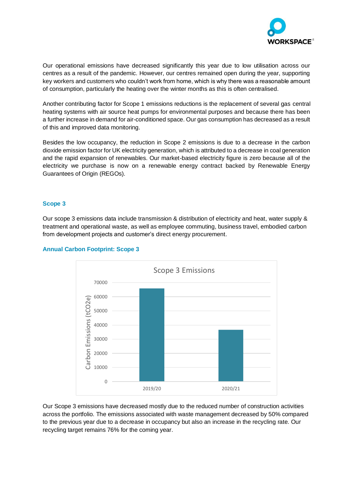

Our operational emissions have decreased significantly this year due to low utilisation across our centres as a result of the pandemic. However, our centres remained open during the year, supporting key workers and customers who couldn't work from home, which is why there was a reasonable amount of consumption, particularly the heating over the winter months as this is often centralised.

Another contributing factor for Scope 1 emissions reductions is the replacement of several gas central heating systems with air source heat pumps for environmental purposes and because there has been a further increase in demand for air-conditioned space. Our gas consumption has decreased as a result of this and improved data monitoring.

Besides the low occupancy, the reduction in Scope 2 emissions is due to a decrease in the carbon dioxide emission factor for UK electricity generation, which is attributed to a decrease in coal generation and the rapid expansion of renewables. Our market-based electricity figure is zero because all of the electricity we purchase is now on a renewable energy contract backed by Renewable Energy Guarantees of Origin (REGOs).

#### **Scope 3**

Our scope 3 emissions data include transmission & distribution of electricity and heat, water supply & treatment and operational waste, as well as employee commuting, business travel, embodied carbon from development projects and customer's direct energy procurement.



#### **Annual Carbon Footprint: Scope 3**

Our Scope 3 emissions have decreased mostly due to the reduced number of construction activities across the portfolio. The emissions associated with waste management decreased by 50% compared to the previous year due to a decrease in occupancy but also an increase in the recycling rate. Our recycling target remains 76% for the coming year.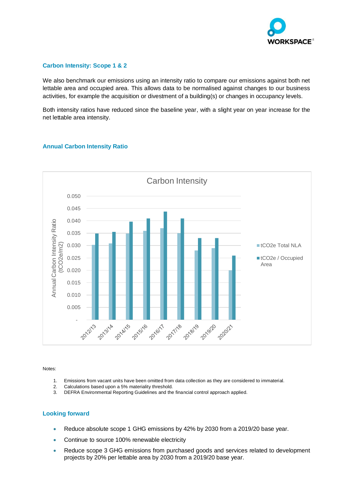

#### **Carbon Intensity: Scope 1 & 2**

We also benchmark our emissions using an intensity ratio to compare our emissions against both net lettable area and occupied area. This allows data to be normalised against changes to our business activities, for example the acquisition or divestment of a building(s) or changes in occupancy levels.

Both intensity ratios have reduced since the baseline year, with a slight year on year increase for the net lettable area intensity.



#### **Annual Carbon Intensity Ratio**

Notes:

- 1. Emissions from vacant units have been omitted from data collection as they are considered to immaterial.
- 2. Calculations based upon a 5% materiality threshold.
- 3. DEFRA Environmental Reporting Guidelines and the financial control approach applied.

## **Looking forward**

- Reduce absolute scope 1 GHG emissions by 42% by 2030 from a 2019/20 base year.
- Continue to source 100% renewable electricity
- Reduce scope 3 GHG emissions from purchased goods and services related to development projects by 20% per lettable area by 2030 from a 2019/20 base year.